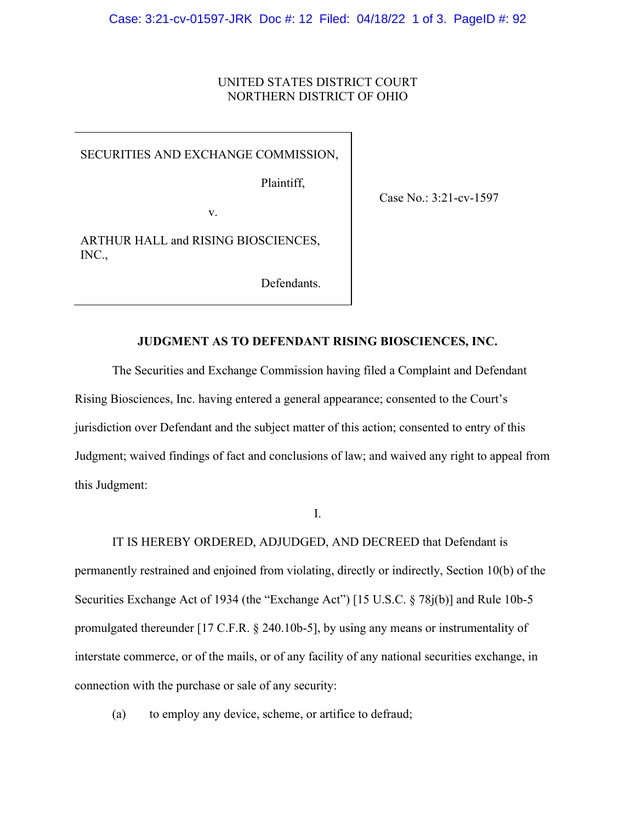### UNITED STATES DISTRICT COURT NORTHERN DISTRICT OF OHIO

SECURITIES AND EXCHANGE COMMISSION,

Plaintiff,

Case No.: 3:21-cv-1597

v.

ARTHUR HALL and RISING BIOSCIENCES, INC.,

Defendants.

# **JUDGMENT AS TO DEFENDANT RISING BIOSCIENCES, INC.**

The Securities and Exchange Commission having filed a Complaint and Defendant Rising Biosciences, Inc. having entered a general appearance; consented to the Court's jurisdiction over Defendant and the subject matter of this action; consented to entry of this Judgment; waived findings of fact and conclusions of law; and waived any right to appeal from this Judgment:

I.

 IT IS HEREBY ORDERED, ADJUDGED, AND DECREED that Defendant is permanently restrained and enjoined from violating, directly or indirectly, Section 10(b) of the Securities Exchange Act of 1934 (the "Exchange Act") [15 U.S.C. § 78j(b)] and Rule 10b-5 promulgated thereunder [17 C.F.R. § 240.10b-5], by using any means or instrumentality of interstate commerce, or of the mails, or of any facility of any national securities exchange, in connection with the purchase or sale of any security:

(a) to employ any device, scheme, or artifice to defraud;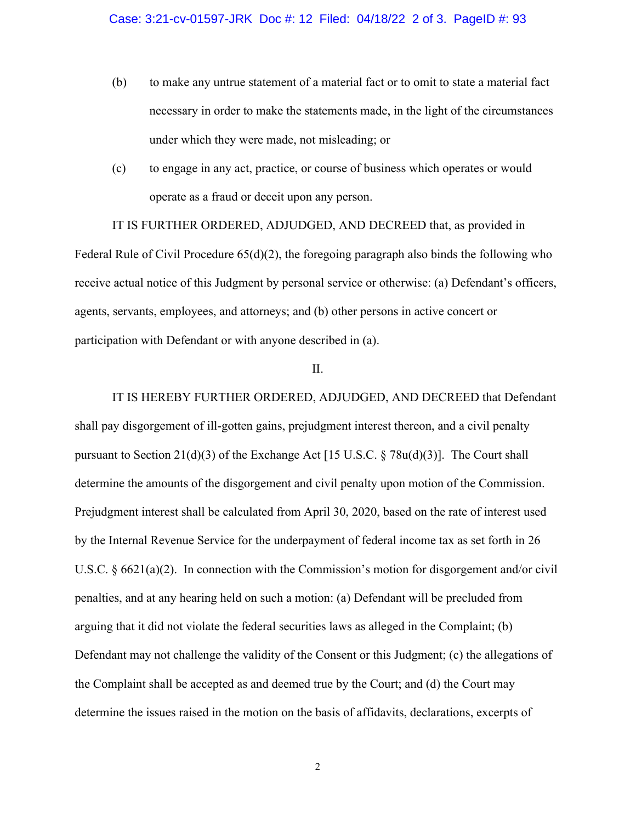- (b) to make any untrue statement of a material fact or to omit to state a material fact necessary in order to make the statements made, in the light of the circumstances under which they were made, not misleading; or
- (c) to engage in any act, practice, or course of business which operates or would operate as a fraud or deceit upon any person.

 IT IS FURTHER ORDERED, ADJUDGED, AND DECREED that, as provided in Federal Rule of Civil Procedure  $65(d)(2)$ , the foregoing paragraph also binds the following who receive actual notice of this Judgment by personal service or otherwise: (a) Defendant's officers, agents, servants, employees, and attorneys; and (b) other persons in active concert or participation with Defendant or with anyone described in (a).

#### II.

IT IS HEREBY FURTHER ORDERED, ADJUDGED, AND DECREED that Defendant shall pay disgorgement of ill-gotten gains, prejudgment interest thereon, and a civil penalty pursuant to Section 21(d)(3) of the Exchange Act [15 U.S.C.  $\S$  78u(d)(3)]. The Court shall determine the amounts of the disgorgement and civil penalty upon motion of the Commission. Prejudgment interest shall be calculated from April 30, 2020, based on the rate of interest used by the Internal Revenue Service for the underpayment of federal income tax as set forth in 26 U.S.C. § 6621(a)(2). In connection with the Commission's motion for disgorgement and/or civil penalties, and at any hearing held on such a motion: (a) Defendant will be precluded from arguing that it did not violate the federal securities laws as alleged in the Complaint; (b) Defendant may not challenge the validity of the Consent or this Judgment; (c) the allegations of the Complaint shall be accepted as and deemed true by the Court; and (d) the Court may determine the issues raised in the motion on the basis of affidavits, declarations, excerpts of